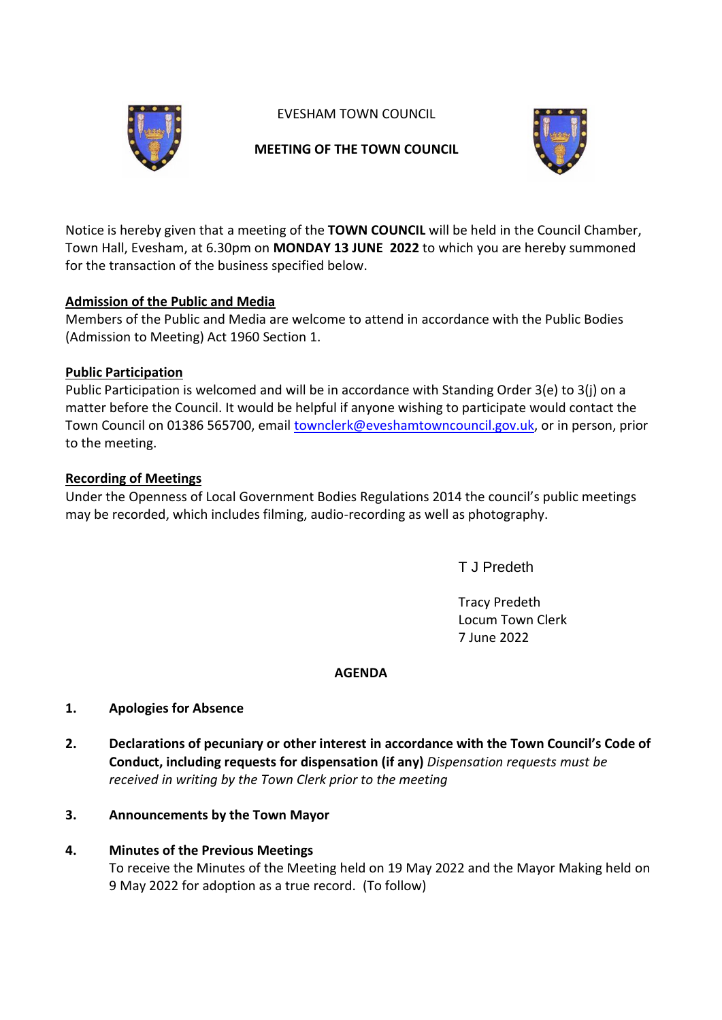

EVESHAM TOWN COUNCIL

## **MEETING OF THE TOWN COUNCIL**



Notice is hereby given that a meeting of the **TOWN COUNCIL** will be held in the Council Chamber, Town Hall, Evesham, at 6.30pm on **MONDAY 13 JUNE 2022** to which you are hereby summoned for the transaction of the business specified below.

## **Admission of the Public and Media**

Members of the Public and Media are welcome to attend in accordance with the Public Bodies (Admission to Meeting) Act 1960 Section 1.

## **Public Participation**

Public Participation is welcomed and will be in accordance with Standing Order 3(e) to 3(j) on a matter before the Council. It would be helpful if anyone wishing to participate would contact the Town Council on 01386 565700, email [townclerk@eveshamtowncouncil.gov.uk,](mailto:townclerk@eveshamtowncouncil.gov.uk) or in person, prior to the meeting.

## **Recording of Meetings**

Under the Openness of Local Government Bodies Regulations 2014 the council's public meetings may be recorded, which includes filming, audio-recording as well as photography.

T J Predeth

Tracy Predeth Locum Town Clerk 7 June 2022

## **AGENDA**

## **1. Apologies for Absence**

**2. Declarations of pecuniary or other interest in accordance with the Town Council's Code of Conduct, including requests for dispensation (if any)** *Dispensation requests must be received in writing by the Town Clerk prior to the meeting*

## **3. Announcements by the Town Mayor**

## **4. Minutes of the Previous Meetings**

To receive the Minutes of the Meeting held on 19 May 2022 and the Mayor Making held on 9 May 2022 for adoption as a true record. (To follow)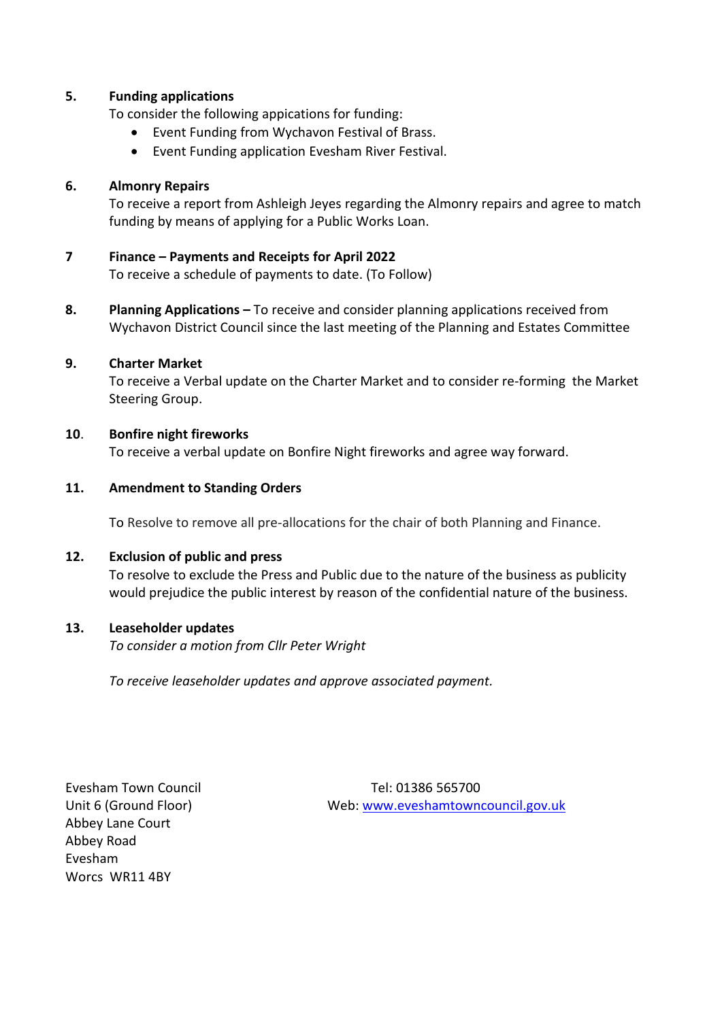#### **5. Funding applications**

To consider the following appications for funding:

- Event Funding from Wychavon Festival of Brass.
- Event Funding application Evesham River Festival.

#### **6. Almonry Repairs**

To receive a report from Ashleigh Jeyes regarding the Almonry repairs and agree to match funding by means of applying for a Public Works Loan.

#### **7 Finance – Payments and Receipts for April 2022**

To receive a schedule of payments to date. (To Follow)

**8. Planning Applications –** To receive and consider planning applications received from Wychavon District Council since the last meeting of the Planning and Estates Committee

#### **9. Charter Market**

To receive a Verbal update on the Charter Market and to consider re-forming the Market Steering Group.

#### **10**. **Bonfire night fireworks**

To receive a verbal update on Bonfire Night fireworks and agree way forward.

#### **11. Amendment to Standing Orders**

To Resolve to remove all pre-allocations for the chair of both Planning and Finance.

#### **12. Exclusion of public and press**

To resolve to exclude the Press and Public due to the nature of the business as publicity would prejudice the public interest by reason of the confidential nature of the business.

#### **13. Leaseholder updates**

*To consider a motion from Cllr Peter Wright* 

*To receive leaseholder updates and approve associated payment.*

Abbey Lane Court Abbey Road Evesham Worcs WR11 4BY

Evesham Town Council **Tel: 01386 565700** Unit 6 (Ground Floor) Web: [www.eveshamtowncouncil.gov.uk](http://www.eveshamtowncouncil.gov.uk/)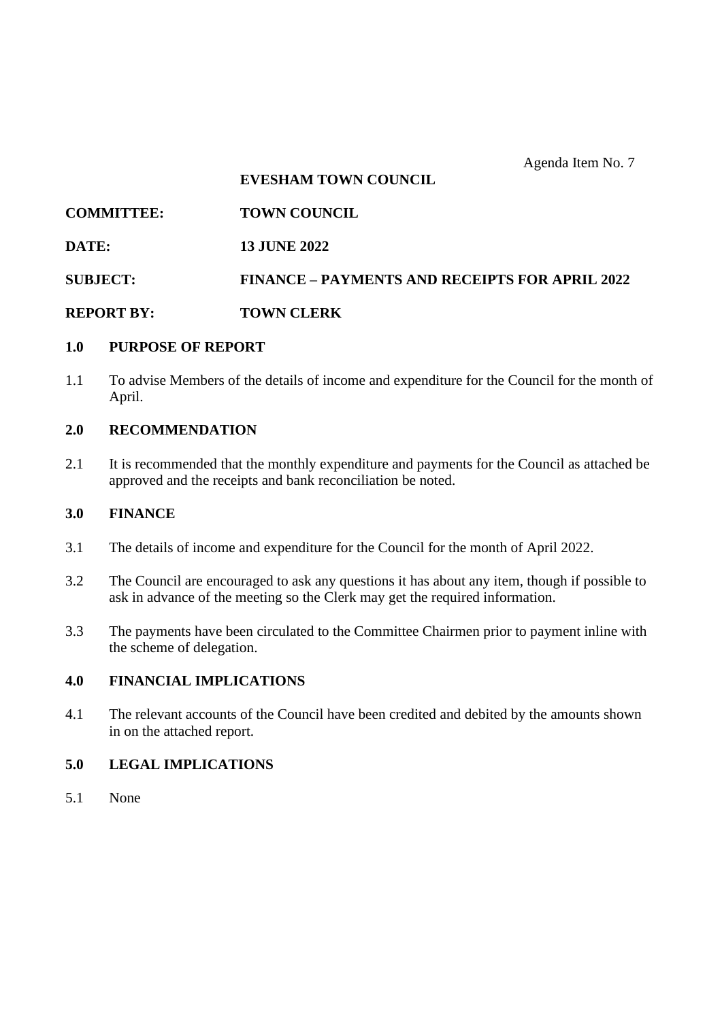Agenda Item No. 7

## **EVESHAM TOWN COUNCIL**

| <b>COMMITTEE:</b> | <b>TOWN COUNCIL</b> |
|-------------------|---------------------|
|                   |                     |

**DATE: 13 JUNE 2022**

**SUBJECT: FINANCE – PAYMENTS AND RECEIPTS FOR APRIL 2022**

**REPORT BY: TOWN CLERK**

#### **1.0 PURPOSE OF REPORT**

1.1 To advise Members of the details of income and expenditure for the Council for the month of April.

#### **2.0 RECOMMENDATION**

2.1 It is recommended that the monthly expenditure and payments for the Council as attached be approved and the receipts and bank reconciliation be noted.

#### **3.0 FINANCE**

- 3.1 The details of income and expenditure for the Council for the month of April 2022.
- 3.2 The Council are encouraged to ask any questions it has about any item, though if possible to ask in advance of the meeting so the Clerk may get the required information.
- 3.3 The payments have been circulated to the Committee Chairmen prior to payment inline with the scheme of delegation.

## **4.0 FINANCIAL IMPLICATIONS**

4.1 The relevant accounts of the Council have been credited and debited by the amounts shown in on the attached report.

## **5.0 LEGAL IMPLICATIONS**

5.1 None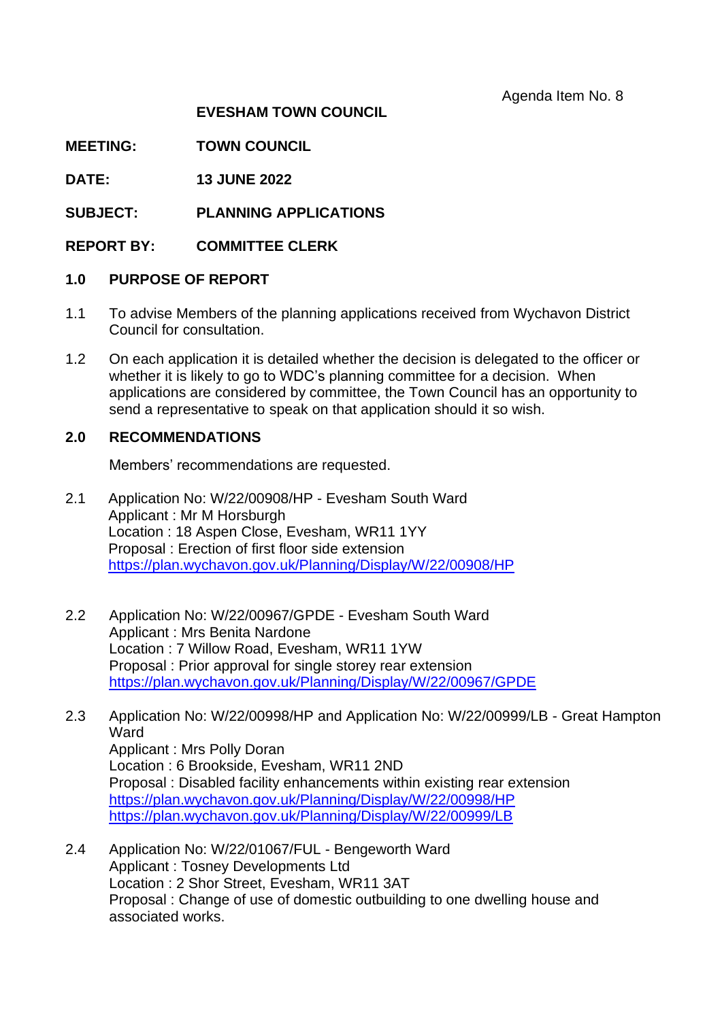Agenda Item No. 8

## **EVESHAM TOWN COUNCIL**

**MEETING: TOWN COUNCIL** 

**DATE: 13 JUNE 2022**

**SUBJECT: PLANNING APPLICATIONS**

**REPORT BY: COMMITTEE CLERK**

## **1.0 PURPOSE OF REPORT**

- 1.1 To advise Members of the planning applications received from Wychavon District Council for consultation.
- 1.2 On each application it is detailed whether the decision is delegated to the officer or whether it is likely to go to WDC's planning committee for a decision. When applications are considered by committee, the Town Council has an opportunity to send a representative to speak on that application should it so wish.

## **2.0 RECOMMENDATIONS**

Members' recommendations are requested.

- 2.1 Application No: W/22/00908/HP Evesham South Ward Applicant : Mr M Horsburgh Location : 18 Aspen Close, Evesham, WR11 1YY Proposal : Erection of first floor side extension <https://plan.wychavon.gov.uk/Planning/Display/W/22/00908/HP>
- 2.2 Application No: W/22/00967/GPDE Evesham South Ward Applicant : Mrs Benita Nardone Location : 7 Willow Road, Evesham, WR11 1YW Proposal : Prior approval for single storey rear extension <https://plan.wychavon.gov.uk/Planning/Display/W/22/00967/GPDE>
- 2.3 Application No: W/22/00998/HP and Application No: W/22/00999/LB Great Hampton **Ward** Applicant : Mrs Polly Doran Location : 6 Brookside, Evesham, WR11 2ND Proposal : Disabled facility enhancements within existing rear extension <https://plan.wychavon.gov.uk/Planning/Display/W/22/00998/HP> <https://plan.wychavon.gov.uk/Planning/Display/W/22/00999/LB>
- 2.4 Application No: W/22/01067/FUL Bengeworth Ward Applicant : Tosney Developments Ltd Location : 2 Shor Street, Evesham, WR11 3AT Proposal : Change of use of domestic outbuilding to one dwelling house and associated works.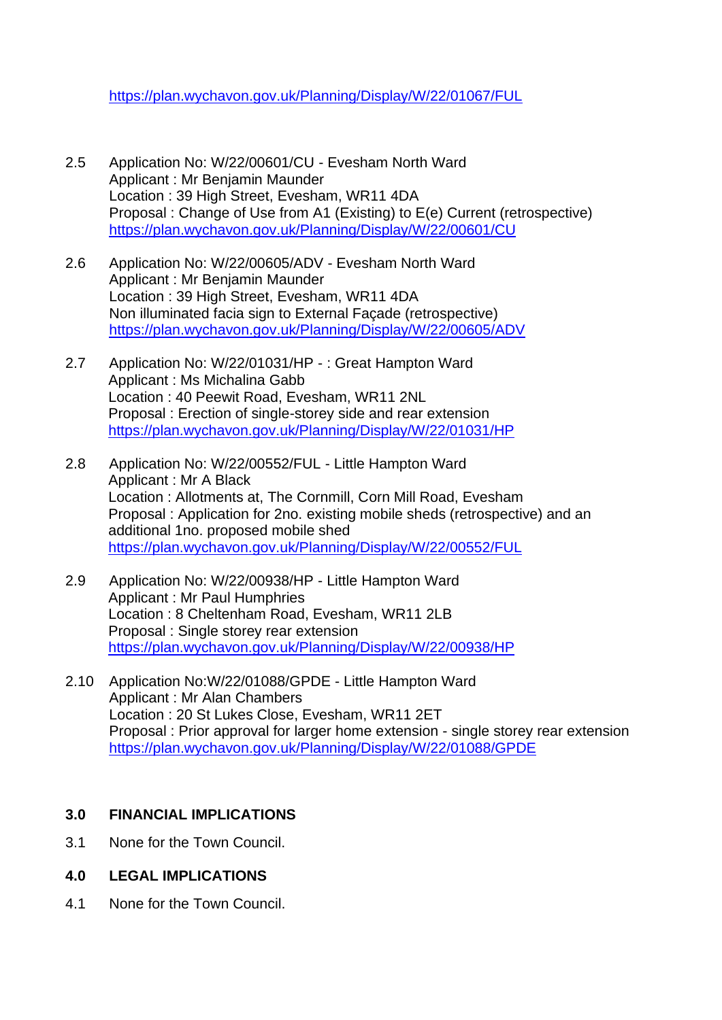<https://plan.wychavon.gov.uk/Planning/Display/W/22/01067/FUL>

- 2.5 Application No: W/22/00601/CU Evesham North Ward Applicant : Mr Benjamin Maunder Location : 39 High Street, Evesham, WR11 4DA Proposal : Change of Use from A1 (Existing) to E(e) Current (retrospective) <https://plan.wychavon.gov.uk/Planning/Display/W/22/00601/CU>
- 2.6 Application No: W/22/00605/ADV Evesham North Ward Applicant : Mr Benjamin Maunder Location : 39 High Street, Evesham, WR11 4DA Non illuminated facia sign to External Façade (retrospective) <https://plan.wychavon.gov.uk/Planning/Display/W/22/00605/ADV>
- 2.7 Application No: W/22/01031/HP : Great Hampton Ward Applicant : Ms Michalina Gabb Location : 40 Peewit Road, Evesham, WR11 2NL Proposal : Erection of single-storey side and rear extension <https://plan.wychavon.gov.uk/Planning/Display/W/22/01031/HP>
- 2.8 Application No: W/22/00552/FUL Little Hampton Ward Applicant : Mr A Black Location : Allotments at, The Cornmill, Corn Mill Road, Evesham Proposal : Application for 2no. existing mobile sheds (retrospective) and an additional 1no. proposed mobile shed <https://plan.wychavon.gov.uk/Planning/Display/W/22/00552/FUL>
- 2.9 Application No: W/22/00938/HP Little Hampton Ward Applicant : Mr Paul Humphries Location : 8 Cheltenham Road, Evesham, WR11 2LB Proposal : Single storey rear extension <https://plan.wychavon.gov.uk/Planning/Display/W/22/00938/HP>
- 2.10 Application No:W/22/01088/GPDE Little Hampton Ward Applicant : Mr Alan Chambers Location : 20 St Lukes Close, Evesham, WR11 2ET Proposal : Prior approval for larger home extension - single storey rear extension <https://plan.wychavon.gov.uk/Planning/Display/W/22/01088/GPDE>

## **3.0 FINANCIAL IMPLICATIONS**

- 3.1 None for the Town Council.
- **4.0 LEGAL IMPLICATIONS**
- 4.1 None for the Town Council.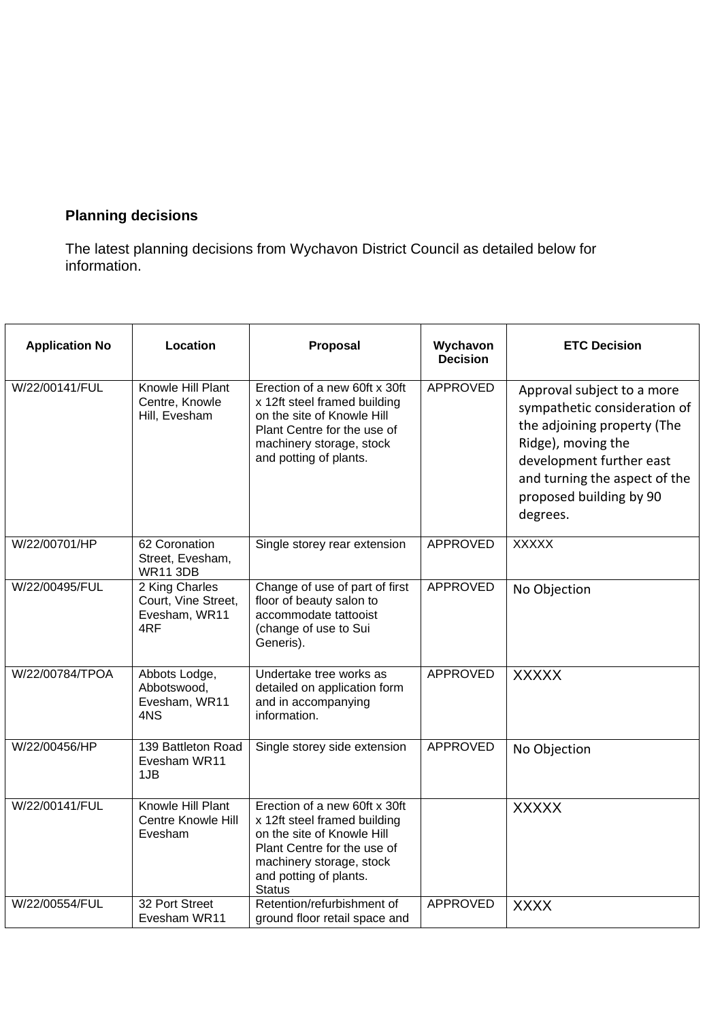# **Planning decisions**

The latest planning decisions from Wychavon District Council as detailed below for information.

| <b>Application No</b> | Location                                                      | Proposal                                                                                                                                                                                          | Wychavon<br><b>Decision</b> | <b>ETC Decision</b>                                                                                                                                                                                                 |
|-----------------------|---------------------------------------------------------------|---------------------------------------------------------------------------------------------------------------------------------------------------------------------------------------------------|-----------------------------|---------------------------------------------------------------------------------------------------------------------------------------------------------------------------------------------------------------------|
| W/22/00141/FUL        | Knowle Hill Plant<br>Centre, Knowle<br>Hill, Evesham          | Erection of a new 60ft x 30ft<br>x 12ft steel framed building<br>on the site of Knowle Hill<br>Plant Centre for the use of<br>machinery storage, stock<br>and potting of plants.                  | APPROVED                    | Approval subject to a more<br>sympathetic consideration of<br>the adjoining property (The<br>Ridge), moving the<br>development further east<br>and turning the aspect of the<br>proposed building by 90<br>degrees. |
| W/22/00701/HP         | 62 Coronation<br>Street, Evesham,<br><b>WR11 3DB</b>          | Single storey rear extension                                                                                                                                                                      | APPROVED                    | <b>XXXXX</b>                                                                                                                                                                                                        |
| W/22/00495/FUL        | 2 King Charles<br>Court, Vine Street,<br>Evesham, WR11<br>4RF | Change of use of part of first<br>floor of beauty salon to<br>accommodate tattooist<br>(change of use to Sui<br>Generis).                                                                         | <b>APPROVED</b>             | No Objection                                                                                                                                                                                                        |
| W/22/00784/TPOA       | Abbots Lodge,<br>Abbotswood,<br>Evesham, WR11<br>4NS          | Undertake tree works as<br>detailed on application form<br>and in accompanying<br>information.                                                                                                    | <b>APPROVED</b>             | <b>XXXXX</b>                                                                                                                                                                                                        |
| W/22/00456/HP         | 139 Battleton Road<br>Evesham WR11<br>1JB                     | Single storey side extension                                                                                                                                                                      | <b>APPROVED</b>             | No Objection                                                                                                                                                                                                        |
| W/22/00141/FUL        | Knowle Hill Plant<br><b>Centre Knowle Hill</b><br>Evesham     | Erection of a new 60ft x 30ft<br>x 12ft steel framed building<br>on the site of Knowle Hill<br>Plant Centre for the use of<br>machinery storage, stock<br>and potting of plants.<br><b>Status</b> |                             | <b>XXXXX</b>                                                                                                                                                                                                        |
| W/22/00554/FUL        | 32 Port Street<br>Evesham WR11                                | Retention/refurbishment of<br>ground floor retail space and                                                                                                                                       | <b>APPROVED</b>             | <b>XXXX</b>                                                                                                                                                                                                         |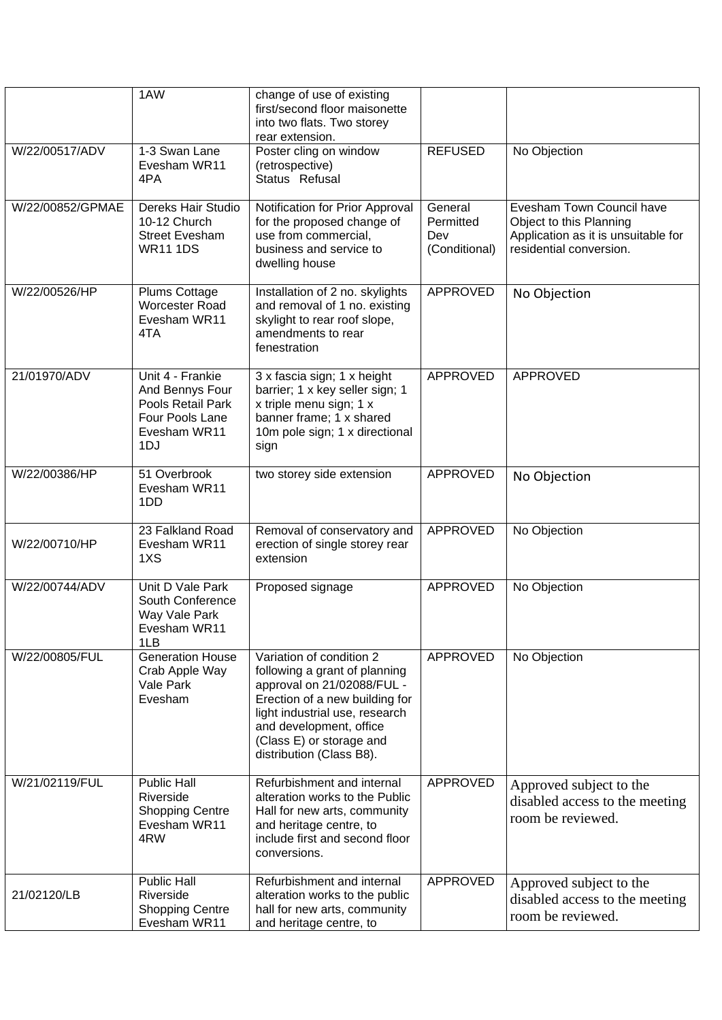|                  | 1AW                                                                                                | change of use of existing<br>first/second floor maisonette<br>into two flats. Two storey<br>rear extension.                                                                                                                                    |                                              |                                                                                                                        |
|------------------|----------------------------------------------------------------------------------------------------|------------------------------------------------------------------------------------------------------------------------------------------------------------------------------------------------------------------------------------------------|----------------------------------------------|------------------------------------------------------------------------------------------------------------------------|
| W/22/00517/ADV   | 1-3 Swan Lane<br>Evesham WR11<br>4PA                                                               | Poster cling on window<br>(retrospective)<br>Status Refusal                                                                                                                                                                                    | <b>REFUSED</b>                               | No Objection                                                                                                           |
| W/22/00852/GPMAE | Dereks Hair Studio<br>10-12 Church<br><b>Street Evesham</b><br><b>WR11 1DS</b>                     | Notification for Prior Approval<br>for the proposed change of<br>use from commercial.<br>business and service to<br>dwelling house                                                                                                             | General<br>Permitted<br>Dev<br>(Conditional) | Evesham Town Council have<br>Object to this Planning<br>Application as it is unsuitable for<br>residential conversion. |
| W/22/00526/HP    | Plums Cottage<br>Worcester Road<br>Evesham WR11<br>4TA                                             | Installation of 2 no. skylights<br>and removal of 1 no. existing<br>skylight to rear roof slope,<br>amendments to rear<br>fenestration                                                                                                         | APPROVED                                     | No Objection                                                                                                           |
| 21/01970/ADV     | Unit 4 - Frankie<br>And Bennys Four<br>Pools Retail Park<br>Four Pools Lane<br>Evesham WR11<br>1DJ | 3 x fascia sign; 1 x height<br>barrier; 1 x key seller sign; 1<br>x triple menu sign; 1 x<br>banner frame; 1 x shared<br>10m pole sign; 1 x directional<br>sign                                                                                | APPROVED                                     | APPROVED                                                                                                               |
| W/22/00386/HP    | 51 Overbrook<br>Evesham WR11<br>1DD                                                                | two storey side extension                                                                                                                                                                                                                      | APPROVED                                     | No Objection                                                                                                           |
| W/22/00710/HP    | 23 Falkland Road<br>Evesham WR11<br>1XS                                                            | Removal of conservatory and<br>erection of single storey rear<br>extension                                                                                                                                                                     | APPROVED                                     | No Objection                                                                                                           |
| W/22/00744/ADV   | Unit D Vale Park<br>South Conference<br>Way Vale Park<br>Evesham WR11<br>1LB                       | Proposed signage                                                                                                                                                                                                                               | <b>APPROVED</b>                              | No Objection                                                                                                           |
| W/22/00805/FUL   | <b>Generation House</b><br>Crab Apple Way<br>Vale Park<br>Evesham                                  | Variation of condition 2<br>following a grant of planning<br>approval on 21/02088/FUL -<br>Erection of a new building for<br>light industrial use, research<br>and development, office<br>(Class E) or storage and<br>distribution (Class B8). | APPROVED                                     | No Objection                                                                                                           |
| W/21/02119/FUL   | <b>Public Hall</b><br>Riverside<br><b>Shopping Centre</b><br>Evesham WR11<br>4RW                   | Refurbishment and internal<br>alteration works to the Public<br>Hall for new arts, community<br>and heritage centre, to<br>include first and second floor<br>conversions.                                                                      | APPROVED                                     | Approved subject to the<br>disabled access to the meeting<br>room be reviewed.                                         |
| 21/02120/LB      | <b>Public Hall</b><br>Riverside<br><b>Shopping Centre</b><br>Evesham WR11                          | Refurbishment and internal<br>alteration works to the public<br>hall for new arts, community<br>and heritage centre, to                                                                                                                        | APPROVED                                     | Approved subject to the<br>disabled access to the meeting<br>room be reviewed.                                         |